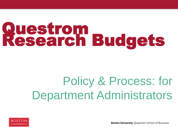# Questrom Research Budgets

# Policy & Process: for Department Administrators



**Boston University Questrom School of Business**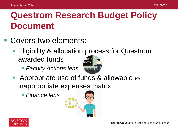# **Questrom Research Budget Policy Document**

- Covers two elements:
	- Eligibility & allocation process for Questrom awarded funds
		- *Faculty Actions lens*



- Appropriate use of funds & allowable *vs*  inappropriate expenses matrix
	- *Finance lens*



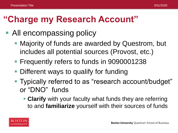# **"Charge my Research Account"**

- All encompassing policy
	- Majority of funds are awarded by Questrom, but includes all potential sources (Provost, etc.)
	- **Figuently refers to funds in 9090001238**
	- Different ways to qualify for funding
	- Typically referred to as "research account/budget" or "DNO" funds
		- **Clarify** with your faculty what funds they are referring to and **familiarize** yourself with their sources of funds

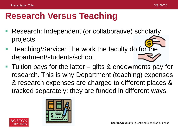# **Research Versus Teaching**

- Research: Independent (or collaborative) scholarly projects
- Teaching/Service: The work the faculty do for the department/students/school.
- Tuition pays for the latter gifts & endowments pay for research. This is why Department (teaching) expenses & research expenses are charged to different places & tracked separately; they are funded in different ways.

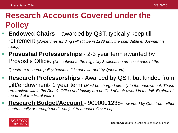#### **Research Accounts Covered under the Policy**

- **Endowed Chairs**  awarded by QST, typically keep till retirement *(Sometimes funding will still be in 1238 until the spendable endowment is ready)*
- **Provostial Professorships**  2-3 year term awarded by Provost's Office. *(Not subject to the eligibility & allocation process/ caps of the*

*Questrom research policy because it is not awarded by Questrom)*

- **Research Professorships**  Awarded by QST, but funded from gift/endowment- 1 year term (*Must be charged directly to the endowment: These are tracked within the Dean's Office and faculty are notified of their award in the fall. Expires at the end of the fiscal year.*)
- **Research Budget/Account**  9090001238- *awarded by Questrom either contractually or through merit- subject to annual rollover cap*

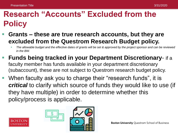#### **Research "Accounts" Excluded from the Policy**

- **Grants – these are true research accounts, but they are excluded from the Questrom Research Budget policy.** 
	- *The allowable budget and the effective dates of grants will be set & approved by the project sponsor and can be reviewed in the BW.*
- **Funds being tracked in your Department Discretionary** if a faculty member has funds available in your department discretionary (subaccount), these are not subject to Questrom research budget policy.
- When faculty ask you to charge their "research funds", it is *critical* to clarify which source of funds they would like to use (if they have multiple) in order to determine whether this policy/process is applicable.





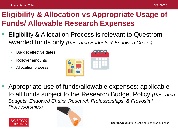#### **Eligibility & Allocation vs Appropriate Usage of Funds/ Allowable Research Expenses**

- Eligibility & Allocation Process is relevant to Questrom awarded funds only *(Research Budgets & Endowed Chairs)* 
	- **Budget effective dates**
	- Rollover amounts
	- **Allocation process**



 Appropriate use of funds/allowable expenses: applicable to all funds subject to the Research Budget Policy *(Research Budgets, Endowed Chairs, Research Professorships, & Provostial Professorships)* 



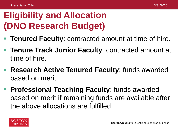# **Eligibility and Allocation (DNO Research Budget)**

- **Tenured Faculty**: contracted amount at time of hire.
- **Tenure Track Junior Faculty**: contracted amount at time of hire.
- **Research Active Tenured Faculty**: funds awarded based on merit.
- **Professional Teaching Faculty**: funds awarded based on merit if remaining funds are available after the above allocations are fulfilled.

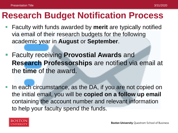#### **Research Budget Notification Process**

- Faculty with funds awarded by **merit** are typically notified via email of their research budgets for the following academic year in **August** or **September**.
- Faculty receiving **Provostial Awards** and **Research Professorships** are notified via email at the **time** of the award.
- In each circumstance, as the DA, if you are not copied on the initial email, you will be **copied on a follow up email**  containing the account number and relevant information to help your faculty spend the funds.

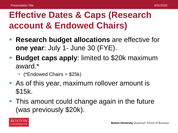# **Effective Dates & Caps (Research account & Endowed Chairs)**

- **Research budget allocations** are effective for **one year**: July 1- June 30 (FYE).
- **Budget caps apply: limited to \$20k maximum** award.\*
	- $\blacksquare$  (\*Endowed Chairs = \$25k)
- **As of this year, maximum rollover amount is** \$15k.
- **This amount could change again in the future** (was previously \$20k).

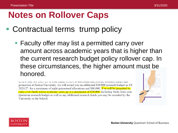## **Notes on Rollover Caps**

- Contractual terms trump policy
	- Faculty offer may list a permitted carry over amount across academic years that is higher than the current research budget policy rollover cap. In these circumstances, the higher amount must be honored.

TOYTOW you AT 2020/20, IT your terms review is successive and you are awarded tenter and promotion at Boston University, we will award you an additional \$10,000 research budget in AY 2026/27, for a maximum of eight guaranteed allocations and \$80,000. You will be permitted to carry over funds across academic years up to a maximum of \$20,000, including funds from your Questrom research budget as well as any additional research funds you may be awarded by the University or the School.



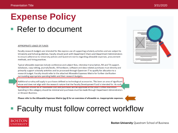# **Expense Policy**

#### ■ Refer to document

#### **APPROPRIATE USAGE OF FUNDS**

Faculty research budgets are intended for the express use of supporting scholarly activities and are subject to University and School guidelines. Faculty should work with Department Chairs and Department Administrators to ensure adherence to University policies and Questrom norms regarding allowable expenses, procurement methods, and hiring practices.

Typical allowable expenses include conference and subject fees, interview transcription, RA and TA support, databases, copy editing, journals/books. All hardware, software and data-related purchases must directly and primarily support scholarly activities and be processed through Questrom IT to qualify for allocation to a research budget. Faculty should refer to the attached Allowable Expenses Matrix for further clarification surrounding appropriate spending habits and their research budgets.

Additional scrutiny will apply to purchases defined as technological accessories. This been an area of significant abuse and does not align with the research nature that the Faculty Development Fund is intended for. As such all expenses should be of reasonable cost and purchases will be approved at the Dean's Office discretion. Spending in this category should be minimal and purchases must be made through Department Administrators or Amazon Business.

Please refer to the Allowable Expenses Matrix (pg 4) for an overview of allowable vs. inappropriate expenses.

#### ■ Faculty must follow correct workflow





**Boston University Questrom School of Business**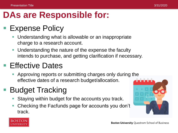# **DAs are Responsible for:**

#### **Expense Policy**

- Understanding what is allowable or an inappropriate charge to a research account.
- **Understanding the nature of the expense the faculty** intends to purchase, and getting clarification if necessary.

#### ■ Effective Dates

 Approving reports or submitting charges only during the effective dates of a research budget/allocation.

## Budget Tracking

- Staying within budget for the accounts you track.
- Checking the Facfunds page for accounts you don't track.





**Boston University Questrom School of Business**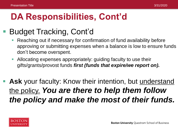# **DA Responsibilities, Cont'd**

#### Budget Tracking, Cont'd

- Reaching out if necessary for confirmation of fund availability before approving or submitting expenses when a balance is low to ensure funds don't become overspent.
- Allocating expenses appropriately: guiding faculty to use their gifts/grants/provost funds *first (funds that expire/we report on).*
- Ask your faculty: Know their intention, but understand the policy. *You are there to help them follow the policy and make the most of their funds.*